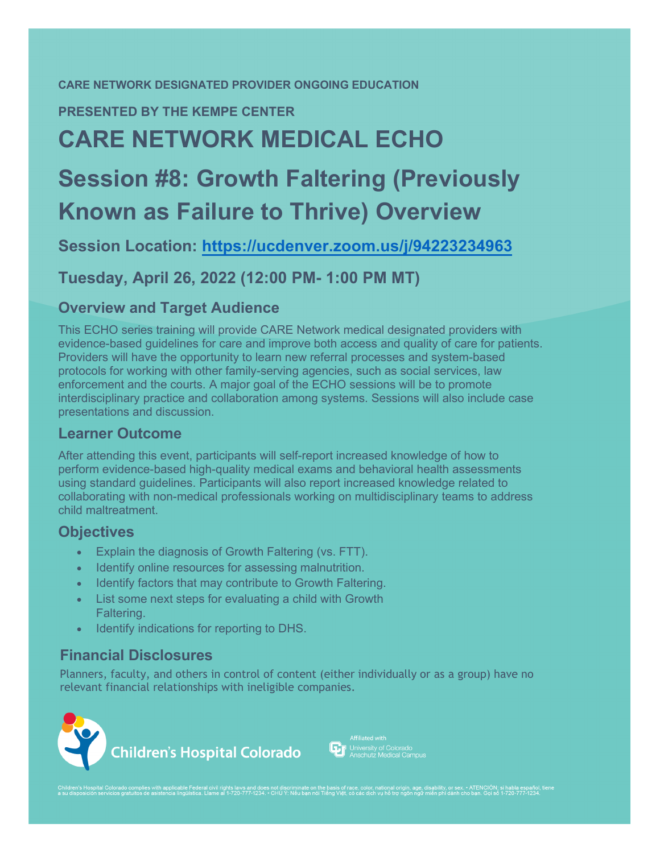#### **CARE NETWORK DESIGNATED PROVIDER ONGOING EDUCATION**

#### **PRESENTED BY THE KEMPE CENTER**

## **CARE NETWORK MEDICAL ECHO**

# **Session #8: Growth Faltering (Previously Known as Failure to Thrive) Overview**

**Session Location: https://ucdenver.zoom.us/j/94223234963**

**Tuesday, April 26, 2022 (12:00 PM- 1:00 PM MT)**

#### **Overview and Target Audience**

This ECHO series training will provide CARE Network [medical designated providers wit](https://ucdenver.zoom.us/j/94223234963)h evidence-based guidelines for care and improve both access and quality of care for patients. Providers will have the opportunity to learn new referral processes and system-based protocols for working with other family-serving agencies, such as social services, law enforcement and the courts. A major goal of the ECHO sessions will be to promote interdisciplinary practice and collaboration among systems. Sessions will also include case presentations and discussion.

#### **Learner Outcome**

After attending this event, participants will self-report increased knowledge of how to perform evidence-based high-quality medical exams and behavioral health assessments using standard guidelines. Participants will also report increased knowledge related to collaborating with non-medical professionals working on multidisciplinary teams to address child maltreatment.

#### **Objectives**

- Explain the diagnosis of Growth Faltering (vs. FTT).
- Identify online resources for assessing malnutrition.
- Identify factors that may contribute to Growth Faltering.
- List some next steps for evaluating a child with Growth Faltering.
- Identify indications for reporting to DHS.

#### **Financial Disclosures**

Planners, faculty, and others in control of content (either individually or as a group) have no relevant financial relationships with ineligible companies.





Children's Hospital Colorado complies with applicable Federal civil rights laws and does not discriminate on the basis of race, color, national origin, age, disability, or sex - ATENCIÓN; si habla español, tiene<br>a su dispo